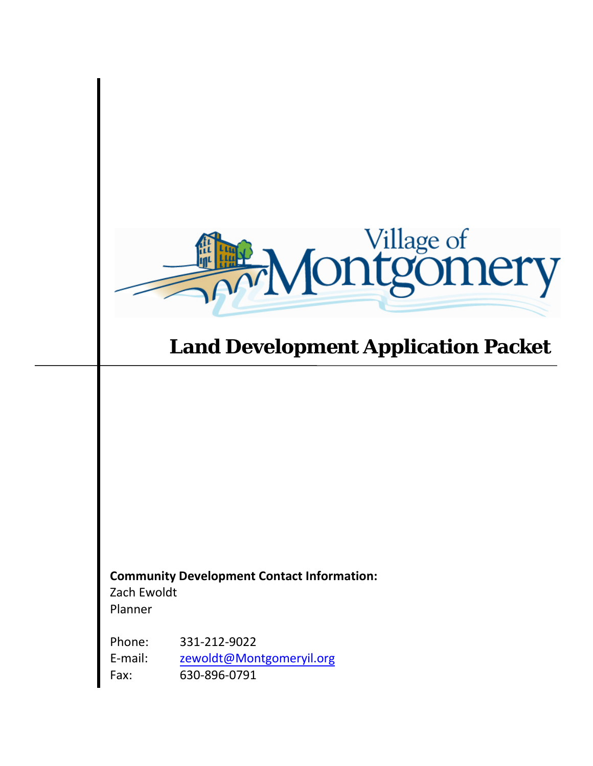

# **Land Development Application Packet**

**Community Development Contact Information:**  Zach Ewoldt Planner

Phone: E-mail: 331-212-9022 [zewoldt@Montgomeryil.org](mailto:chipman@ci.montgomery.il.us) Fax: 630-896-0791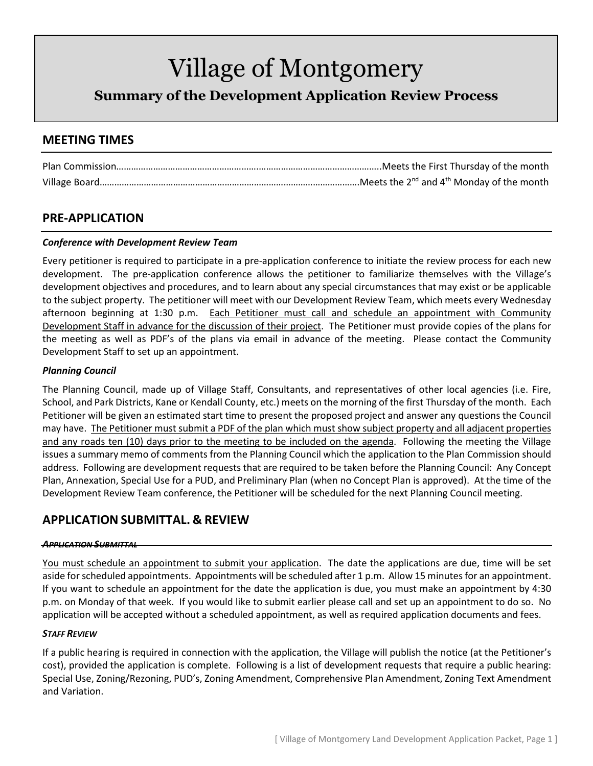**Summary of the Development Application Review Process**

## **MEETING TIMES**

## **PRE-APPLICATION**

### *Conference with Development Review Team*

Every petitioner is required to participate in a pre-application conference to initiate the review process for each new development. The pre-application conference allows the petitioner to familiarize themselves with the Village's development objectives and procedures, and to learn about any special circumstances that may exist or be applicable to the subject property. The petitioner will meet with our Development Review Team, which meets every Wednesday afternoon beginning at 1:30 p.m. Each Petitioner must call and schedule an appointment with Community Development Staff in advance for the discussion of their project. The Petitioner must provide copies of the plans for the meeting as well as PDF's of the plans via email in advance of the meeting. Please contact the Community Development Staff to set up an appointment.

### *Planning Council*

The Planning Council, made up of Village Staff, Consultants, and representatives of other local agencies (i.e. Fire, School, and Park Districts, Kane or Kendall County, etc.) meets on the morning of the first Thursday of the month. Each Petitioner will be given an estimated start time to present the proposed project and answer any questions the Council may have. The Petitioner must submit a PDF of the plan which must show subject property and all adjacent properties and any roads ten (10) days prior to the meeting to be included on the agenda. Following the meeting the Village issues a summary memo of comments from the Planning Council which the application to the Plan Commission should address. Following are development requests that are required to be taken before the Planning Council: Any Concept Plan, Annexation, Special Use for a PUD, and Preliminary Plan (when no Concept Plan is approved). At the time of the Development Review Team conference, the Petitioner will be scheduled for the next Planning Council meeting.

## **APPLICATION SUBMITTAL. & REVIEW**

### *APPLICATION SUBMITTAL*

You must schedule an appointment to submit your application. The date the applications are due, time will be set aside for scheduled appointments. Appointments will be scheduled after 1 p.m. Allow 15 minutes for an appointment. If you want to schedule an appointment for the date the application is due, you must make an appointment by 4:30 p.m. on Monday of that week. If you would like to submit earlier please call and set up an appointment to do so. No application will be accepted without a scheduled appointment, as well as required application documents and fees.

### *STAFF REVIEW*

If a public hearing is required in connection with the application, the Village will publish the notice (at the Petitioner's cost), provided the application is complete. Following is a list of development requests that require a public hearing: Special Use, Zoning/Rezoning, PUD's, Zoning Amendment, Comprehensive Plan Amendment, Zoning Text Amendment and Variation.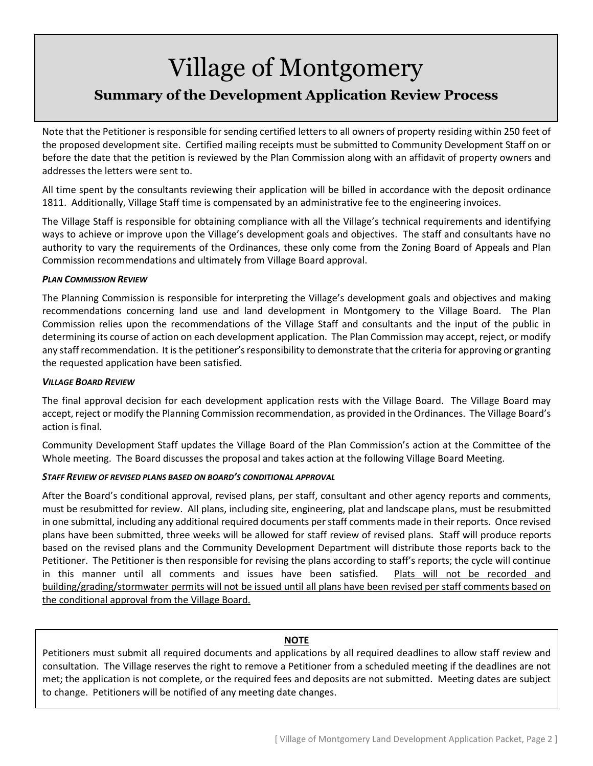# Village of Montgomery **Summary of the Development Application Review Process**

Note that the Petitioner is responsible for sending certified letters to all owners of property residing within 250 feet of the proposed development site. Certified mailing receipts must be submitted to Community Development Staff on or before the date that the petition is reviewed by the Plan Commission along with an affidavit of property owners and addresses the letters were sent to.

All time spent by the consultants reviewing their application will be billed in accordance with the deposit ordinance 1811. Additionally, Village Staff time is compensated by an administrative fee to the engineering invoices.

The Village Staff is responsible for obtaining compliance with all the Village's technical requirements and identifying ways to achieve or improve upon the Village's development goals and objectives. The staff and consultants have no authority to vary the requirements of the Ordinances, these only come from the Zoning Board of Appeals and Plan Commission recommendations and ultimately from Village Board approval.

### *PLAN COMMISSION REVIEW*

The Planning Commission is responsible for interpreting the Village's development goals and objectives and making recommendations concerning land use and land development in Montgomery to the Village Board. The Plan Commission relies upon the recommendations of the Village Staff and consultants and the input of the public in determining its course of action on each development application. The Plan Commission may accept, reject, or modify any staff recommendation. It is the petitioner's responsibility to demonstrate that the criteria for approving or granting the requested application have been satisfied.

#### *VILLAGE BOARD REVIEW*

The final approval decision for each development application rests with the Village Board. The Village Board may accept, reject or modify the Planning Commission recommendation, as provided in the Ordinances. The Village Board's action is final.

Community Development Staff updates the Village Board of the Plan Commission's action at the Committee of the Whole meeting. The Board discusses the proposal and takes action at the following Village Board Meeting.

### *STAFF REVIEW OF REVISED PLANS BASED ON BOARD'S CONDITIONAL APPROVAL*

After the Board's conditional approval, revised plans, per staff, consultant and other agency reports and comments, must be resubmitted for review. All plans, including site, engineering, plat and landscape plans, must be resubmitted in one submittal, including any additional required documents per staff comments made in their reports. Once revised plans have been submitted, three weeks will be allowed for staff review of revised plans. Staff will produce reports based on the revised plans and the Community Development Department will distribute those reports back to the Petitioner. The Petitioner is then responsible for revising the plans according to staff's reports; the cycle will continue in this manner until all comments and issues have been satisfied. Plats will not be recorded and building/grading/stormwater permits will not be issued until all plans have been revised per staff comments based on the conditional approval from the Village Board.

### **NOTE**

Petitioners must submit all required documents and applications by all required deadlines to allow staff review and consultation. The Village reserves the right to remove a Petitioner from a scheduled meeting if the deadlines are not met; the application is not complete, or the required fees and deposits are not submitted. Meeting dates are subject to change. Petitioners will be notified of any meeting date changes.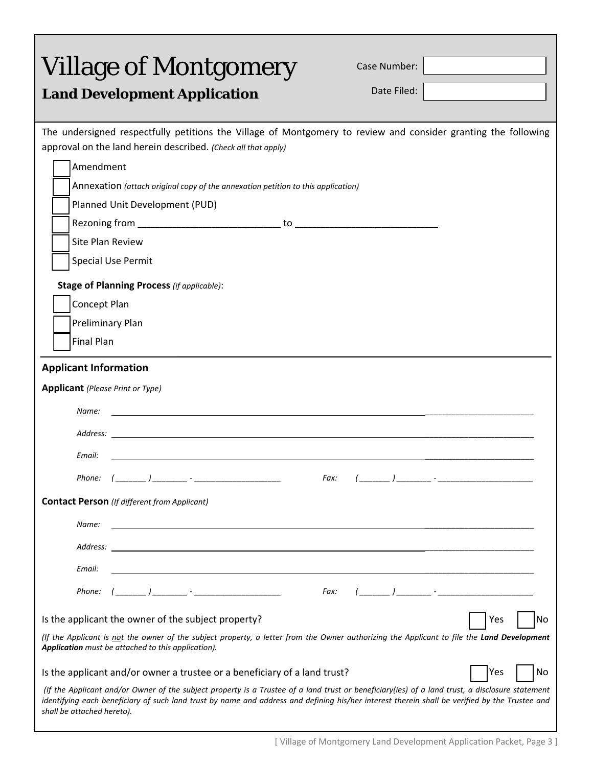<span id="page-3-0"></span>

| <b>Village of Montgomery</b><br><b>Land Development Application</b>                                                                                                                                                                                                                                                             |      | Case Number:<br>Date Filed: |     |    |
|---------------------------------------------------------------------------------------------------------------------------------------------------------------------------------------------------------------------------------------------------------------------------------------------------------------------------------|------|-----------------------------|-----|----|
|                                                                                                                                                                                                                                                                                                                                 |      |                             |     |    |
| The undersigned respectfully petitions the Village of Montgomery to review and consider granting the following<br>approval on the land herein described. (Check all that apply)                                                                                                                                                 |      |                             |     |    |
| Amendment                                                                                                                                                                                                                                                                                                                       |      |                             |     |    |
| Annexation (attach original copy of the annexation petition to this application)                                                                                                                                                                                                                                                |      |                             |     |    |
| Planned Unit Development (PUD)                                                                                                                                                                                                                                                                                                  |      |                             |     |    |
|                                                                                                                                                                                                                                                                                                                                 |      |                             |     |    |
| Site Plan Review                                                                                                                                                                                                                                                                                                                |      |                             |     |    |
| <b>Special Use Permit</b>                                                                                                                                                                                                                                                                                                       |      |                             |     |    |
| <b>Stage of Planning Process (if applicable):</b>                                                                                                                                                                                                                                                                               |      |                             |     |    |
| Concept Plan                                                                                                                                                                                                                                                                                                                    |      |                             |     |    |
| Preliminary Plan                                                                                                                                                                                                                                                                                                                |      |                             |     |    |
| <b>Final Plan</b>                                                                                                                                                                                                                                                                                                               |      |                             |     |    |
| <b>Applicant Information</b>                                                                                                                                                                                                                                                                                                    |      |                             |     |    |
| <b>Applicant</b> (Please Print or Type)                                                                                                                                                                                                                                                                                         |      |                             |     |    |
| Name:                                                                                                                                                                                                                                                                                                                           |      |                             |     |    |
|                                                                                                                                                                                                                                                                                                                                 |      |                             |     |    |
|                                                                                                                                                                                                                                                                                                                                 |      |                             |     |    |
| Email:                                                                                                                                                                                                                                                                                                                          |      |                             |     |    |
| Phone:                                                                                                                                                                                                                                                                                                                          | Fax: |                             |     |    |
| <b>Contact Person</b> (If different from Applicant)                                                                                                                                                                                                                                                                             |      |                             |     |    |
| Name:                                                                                                                                                                                                                                                                                                                           |      |                             |     |    |
| Address:                                                                                                                                                                                                                                                                                                                        |      |                             |     |    |
| Email:                                                                                                                                                                                                                                                                                                                          |      |                             |     |    |
| Phone:                                                                                                                                                                                                                                                                                                                          |      |                             |     |    |
|                                                                                                                                                                                                                                                                                                                                 | Fax: |                             |     |    |
| Is the applicant the owner of the subject property?                                                                                                                                                                                                                                                                             |      |                             | Yes | No |
| (If the Applicant is not the owner of the subject property, a letter from the Owner authorizing the Applicant to file the Land Development<br>Application must be attached to this application).                                                                                                                                |      |                             |     |    |
| Is the applicant and/or owner a trustee or a beneficiary of a land trust?                                                                                                                                                                                                                                                       |      |                             | Yes | No |
| (If the Applicant and/or Owner of the subject property is a Trustee of a land trust or beneficiary(ies) of a land trust, a disclosure statement<br>identifying each beneficiary of such land trust by name and address and defining his/her interest therein shall be verified by the Trustee and<br>shall be attached hereto). |      |                             |     |    |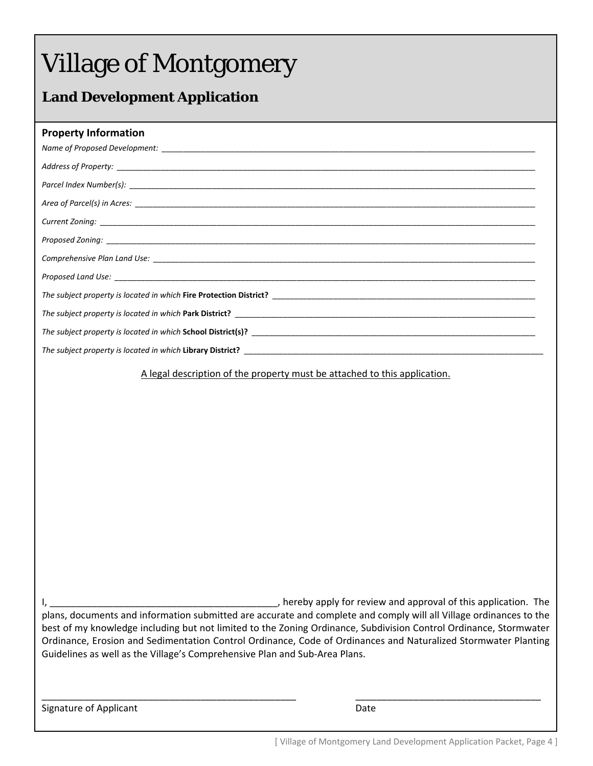# **Land Development Application**

### **Property Information**

A legal description of the property must be attached to this application.

I, \_\_\_\_\_\_\_\_\_\_\_\_\_\_\_\_\_\_\_\_\_\_\_\_\_\_\_\_\_\_\_\_\_\_\_\_\_\_\_\_\_\_\_, hereby apply for review and approval of this application. The plans, documents and information submitted are accurate and complete and comply will all Village ordinances to the best of my knowledge including but not limited to the Zoning Ordinance, Subdivision Control Ordinance, Stormwater Ordinance, Erosion and Sedimentation Control Ordinance, Code of Ordinances and Naturalized Stormwater Planting Guidelines as well as the Village's Comprehensive Plan and Sub‐Area Plans.

\_\_\_\_\_\_\_\_\_\_\_\_\_\_\_\_\_\_\_\_\_\_\_\_\_\_\_\_\_\_\_\_\_\_\_\_\_\_\_\_\_\_\_\_\_\_\_\_ \_\_\_\_\_\_\_\_\_\_\_\_\_\_\_\_\_\_\_\_\_\_\_\_\_\_\_\_\_\_\_\_\_\_\_

Signature of Applicant 
Butcher and Contact Contact Contact Contact Date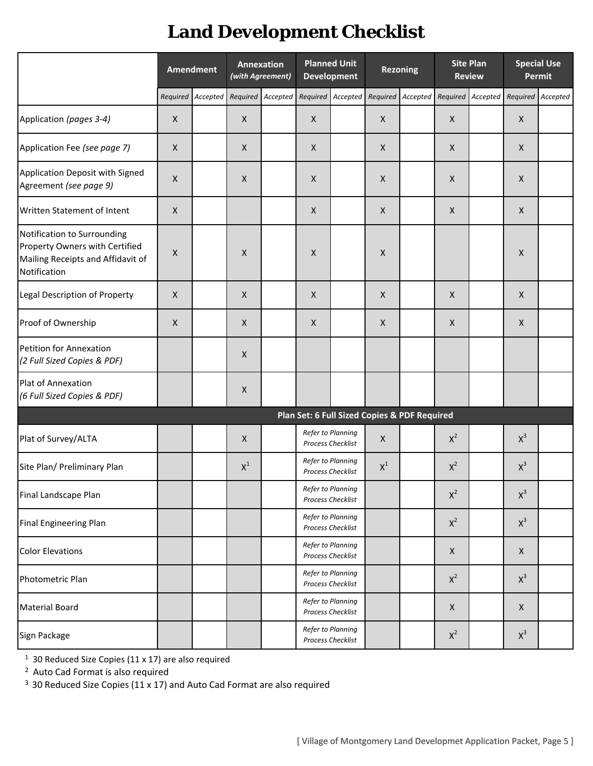# **Land Development Checklist**

|                                                                                                                    |              | <b>Amendment</b>  |                | <b>Annexation</b><br>(with Agreement) |                | <b>Planned Unit</b><br><b>Development</b>     |                | <b>Rezoning</b>                              |                | <b>Site Plan</b><br><b>Review</b> |                    | <b>Special Use</b><br>Permit |
|--------------------------------------------------------------------------------------------------------------------|--------------|-------------------|----------------|---------------------------------------|----------------|-----------------------------------------------|----------------|----------------------------------------------|----------------|-----------------------------------|--------------------|------------------------------|
|                                                                                                                    |              | Required Accepted |                | Required Accepted Required            |                | Accepted                                      |                | Required Accepted                            | Required       | Accepted Required Accepted        |                    |                              |
| Application (pages 3-4)                                                                                            | X            |                   | X              |                                       | $\pmb{\times}$ |                                               | X              |                                              | X              |                                   | X                  |                              |
| Application Fee (see page 7)                                                                                       | $\mathsf{X}$ |                   | X              |                                       | $\mathsf{X}$   |                                               | X              |                                              | X              |                                   | $\pmb{\times}$     |                              |
| Application Deposit with Signed<br>Agreement (see page 9)                                                          | $\mathsf{X}$ |                   | $\mathsf X$    |                                       | X              |                                               | X              |                                              | X              |                                   | X                  |                              |
| Written Statement of Intent                                                                                        | X            |                   |                |                                       | X              |                                               | $\mathsf{X}$   |                                              | X              |                                   | X                  |                              |
| Notification to Surrounding<br>Property Owners with Certified<br>Mailing Receipts and Affidavit of<br>Notification | X            |                   | $\mathsf X$    |                                       | X              |                                               | $\pmb{\times}$ |                                              |                |                                   | X                  |                              |
| Legal Description of Property                                                                                      | $\mathsf{X}$ |                   | $\pmb{\times}$ |                                       | $\pmb{\times}$ |                                               | $\mathsf{X}$   |                                              | X              |                                   | $\mathsf{X}$       |                              |
| Proof of Ownership                                                                                                 | X            |                   | $\mathsf{X}$   |                                       | $\mathsf{X}$   |                                               | $\mathsf{X}$   |                                              | X              |                                   | $\mathsf{X}$       |                              |
| Petition for Annexation<br>(2 Full Sized Copies & PDF)                                                             |              |                   | $\pmb{\times}$ |                                       |                |                                               |                |                                              |                |                                   |                    |                              |
| Plat of Annexation<br>(6 Full Sized Copies & PDF)                                                                  |              |                   | $\pmb{\times}$ |                                       |                |                                               |                |                                              |                |                                   |                    |                              |
|                                                                                                                    |              |                   |                |                                       |                |                                               |                | Plan Set: 6 Full Sized Copies & PDF Required |                |                                   |                    |                              |
| Plat of Survey/ALTA                                                                                                |              |                   | $\mathsf X$    |                                       |                | Refer to Planning<br>Process Checklist        | $\mathsf X$    |                                              | $X^2$          |                                   | $X^3$              |                              |
| Site Plan/ Preliminary Plan                                                                                        |              |                   | $X^1$          |                                       |                | Refer to Planning<br><b>Process Checklist</b> | $X^1$          |                                              | $X^2$          |                                   | $X^3$              |                              |
| Final Landscape Plan                                                                                               |              |                   |                |                                       |                | Refer to Planning<br>Process Checklist        |                |                                              | $X^2$          |                                   | $\mathsf{X}^3$     |                              |
| Final Engineering Plan                                                                                             |              |                   |                |                                       |                | Refer to Planning<br>Process Checklist        |                |                                              | $X^2$          |                                   | $X^3$              |                              |
| <b>Color Elevations</b>                                                                                            |              |                   |                |                                       |                | Refer to Planning<br>Process Checklist        |                |                                              | X              |                                   | $\pmb{\mathsf{X}}$ |                              |
| Photometric Plan                                                                                                   |              |                   |                |                                       |                | Refer to Planning<br>Process Checklist        |                |                                              | $X^2$          |                                   | $X^3$              |                              |
| <b>Material Board</b>                                                                                              |              |                   |                |                                       |                | Refer to Planning<br>Process Checklist        |                |                                              | $\pmb{\times}$ |                                   | $\pmb{\times}$     |                              |
| Sign Package                                                                                                       |              |                   |                |                                       |                | Refer to Planning<br>Process Checklist        |                |                                              | $x^2$          |                                   | $X^3$              |                              |

 $1$  30 Reduced Size Copies (11 x 17) are also required

<sup>2</sup> Auto Cad Format is also required

<sup>3</sup> 30 Reduced Size Copies (11 x 17) and Auto Cad Format are also required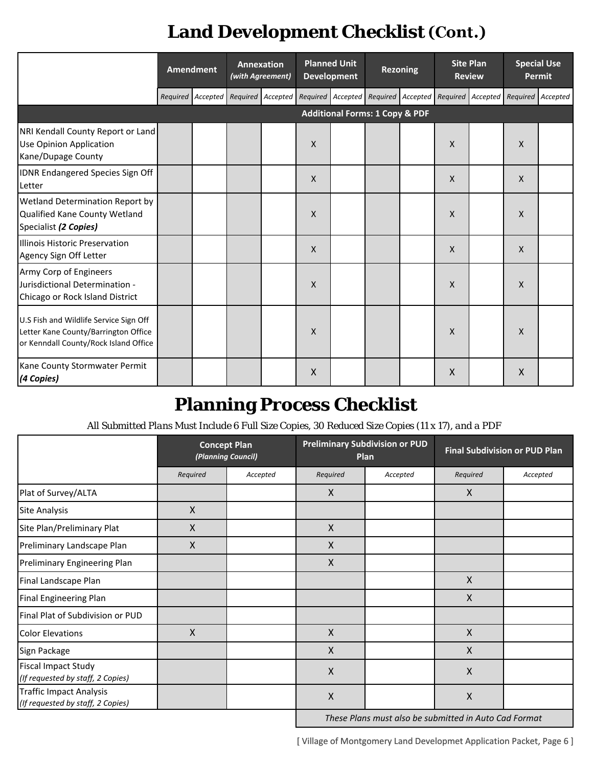# **Land Development Checklist**

|                                                                                                                         | <b>Amendment</b>  | Annexation<br>(with Agreement) |                                                       | <b>Planned Unit</b><br><b>Development</b> |                                           | <b>Rezoning</b> |          | <b>Site Plan</b><br><b>Review</b>   |                           | <b>Special Use</b><br>Permit |
|-------------------------------------------------------------------------------------------------------------------------|-------------------|--------------------------------|-------------------------------------------------------|-------------------------------------------|-------------------------------------------|-----------------|----------|-------------------------------------|---------------------------|------------------------------|
|                                                                                                                         | Required Accepted |                                | Required Accepted Required Accepted Required Accepted |                                           |                                           |                 |          | Required Accepted Required Accepted |                           |                              |
|                                                                                                                         |                   |                                |                                                       |                                           | <b>Additional Forms: 1 Copy &amp; PDF</b> |                 |          |                                     |                           |                              |
| NRI Kendall County Report or Land<br><b>Use Opinion Application</b><br>Kane/Dupage County                               |                   |                                | $\mathsf{X}$                                          |                                           |                                           |                 | $\times$ |                                     | $\mathsf{X}$              |                              |
| IDNR Endangered Species Sign Off<br>Letter                                                                              |                   |                                | $\mathsf{X}$                                          |                                           |                                           |                 | X        |                                     | X                         |                              |
| Wetland Determination Report by<br>Qualified Kane County Wetland<br>Specialist (2 Copies)                               |                   |                                | X                                                     |                                           |                                           |                 | X        |                                     | X                         |                              |
| Illinois Historic Preservation<br>Agency Sign Off Letter                                                                |                   |                                | X                                                     |                                           |                                           |                 | $\times$ |                                     | $\boldsymbol{\mathsf{X}}$ |                              |
| Army Corp of Engineers<br>Jurisdictional Determination -<br>Chicago or Rock Island District                             |                   |                                | $\mathsf{X}$                                          |                                           |                                           |                 | X        |                                     | $\mathsf{x}$              |                              |
| U.S Fish and Wildlife Service Sign Off<br>Letter Kane County/Barrington Office<br>or Kenndall County/Rock Island Office |                   |                                | X                                                     |                                           |                                           |                 | X        |                                     | $\boldsymbol{\mathsf{X}}$ |                              |
| Kane County Stormwater Permit<br>(4 Copies)                                                                             |                   |                                | $\mathsf{X}$                                          |                                           |                                           |                 | Χ        |                                     | X                         |                              |

# **Planning Process Checklist**

*All Submitted Plans Must Include 6 Full Size Copies, 30 Reduced Size Copies (11 x 17), and a PDF*

|                                                                     | <b>Concept Plan</b><br>(Planning Council) |          |                    | <b>Preliminary Subdivision or PUD</b><br>Plan | <b>Final Subdivision or PUD Plan</b>                  |          |  |
|---------------------------------------------------------------------|-------------------------------------------|----------|--------------------|-----------------------------------------------|-------------------------------------------------------|----------|--|
|                                                                     | Required                                  | Accepted | Required           | Accepted                                      | Required                                              | Accepted |  |
| Plat of Survey/ALTA                                                 |                                           |          | $\mathsf{X}$       |                                               | $\mathsf{X}$                                          |          |  |
| <b>Site Analysis</b>                                                | X                                         |          |                    |                                               |                                                       |          |  |
| Site Plan/Preliminary Plat                                          | $\mathsf{X}$                              |          | X                  |                                               |                                                       |          |  |
| Preliminary Landscape Plan                                          | X                                         |          | $\mathsf{X}$       |                                               |                                                       |          |  |
| Preliminary Engineering Plan                                        |                                           |          | $\mathsf{X}$       |                                               |                                                       |          |  |
| Final Landscape Plan                                                |                                           |          |                    |                                               | $\mathsf{X}$                                          |          |  |
| <b>Final Engineering Plan</b>                                       |                                           |          |                    |                                               | $\boldsymbol{\mathsf{X}}$                             |          |  |
| Final Plat of Subdivision or PUD                                    |                                           |          |                    |                                               |                                                       |          |  |
| <b>Color Elevations</b>                                             | $\mathsf{X}$                              |          | $\mathsf{X}$       |                                               | $\mathsf{X}$                                          |          |  |
| Sign Package                                                        |                                           |          | $\mathsf{X}$       |                                               | $\mathsf{X}$                                          |          |  |
| <b>Fiscal Impact Study</b><br>(If requested by staff, 2 Copies)     |                                           |          | $\mathsf{X}$       |                                               | $\mathsf{X}$                                          |          |  |
| <b>Traffic Impact Analysis</b><br>(If requested by staff, 2 Copies) |                                           |          | $\pmb{\mathsf{X}}$ |                                               | $\mathsf{X}$                                          |          |  |
|                                                                     |                                           |          |                    |                                               | These Plans must also be submitted in Auto Cad Format |          |  |

*These Plans must also be submitted in Auto Cad Format*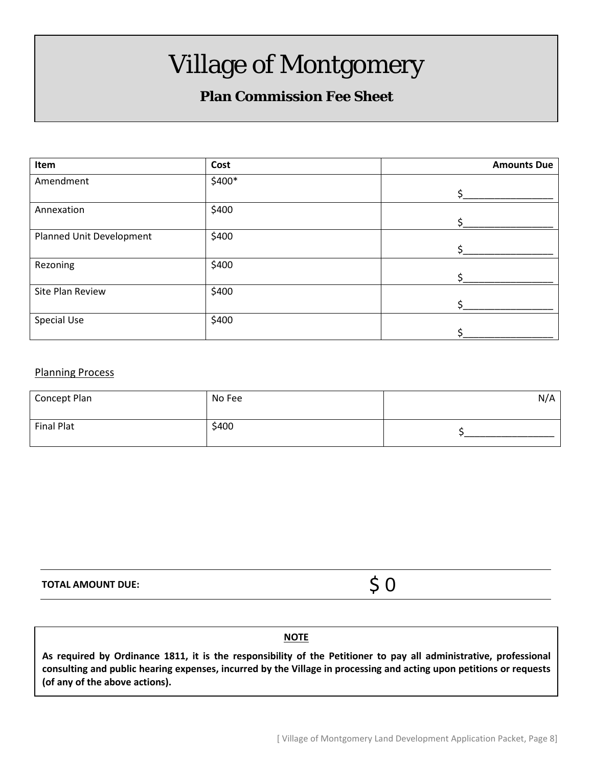# **Plan Commission Fee Sheet**

| Item                     | Cost   | <b>Amounts Due</b> |
|--------------------------|--------|--------------------|
| Amendment                | \$400* |                    |
|                          |        | S.                 |
| Annexation               | \$400  |                    |
|                          |        |                    |
| Planned Unit Development | \$400  |                    |
|                          |        |                    |
| Rezoning                 | \$400  |                    |
|                          |        |                    |
| Site Plan Review         | \$400  |                    |
|                          |        |                    |
| Special Use              | \$400  |                    |
|                          |        |                    |

### Planning Process

| Concept Plan | No Fee | N/A |
|--------------|--------|-----|
| Final Plat   | \$400  |     |

**TOTAL AMOUNT DUE:**

\$ 0

# **<u>NOTE</u>**

**As required by Ordinance 1811, it is the responsibility of the Petitioner to pay all administrative, professional consulting and public hearing expenses, incurred by the Village in processing and acting upon petitions or requests (of any of the above actions).**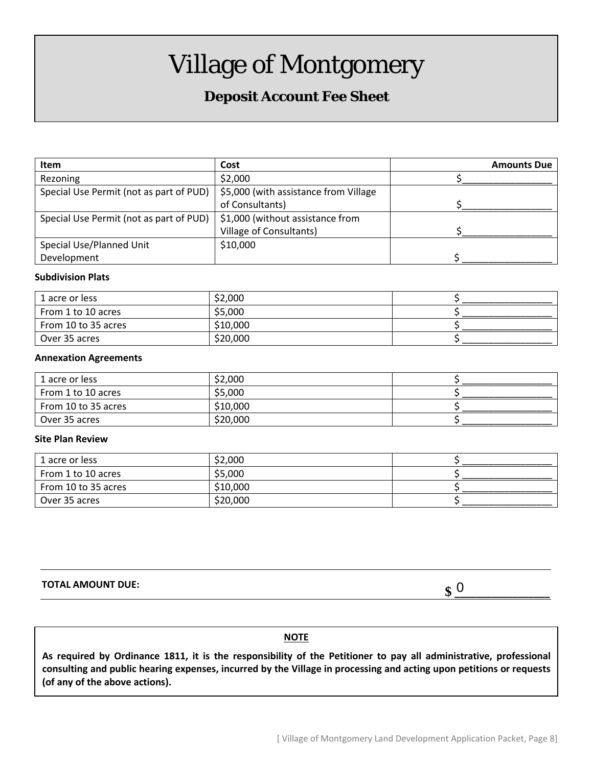# **Deposit Account Fee Sheet**

| <b>Item</b>                             | Cost                                  | <b>Amounts Due</b> |
|-----------------------------------------|---------------------------------------|--------------------|
| Rezoning                                | \$2,000                               |                    |
| Special Use Permit (not as part of PUD) | \$5,000 (with assistance from Village |                    |
|                                         | of Consultants)                       |                    |
| Special Use Permit (not as part of PUD) | \$1,000 (without assistance from      |                    |
|                                         | Village of Consultants)               |                    |
| Special Use/Planned Unit                | \$10,000                              |                    |
| Development                             |                                       |                    |

### **Subdivision Plats**

| 1 acre or less      | \$2,000  |  |
|---------------------|----------|--|
| From 1 to 10 acres  | \$5,000  |  |
| From 10 to 35 acres | \$10,000 |  |
| Over 35 acres       | \$20,000 |  |

#### **Annexation Agreements**

| 1 acre or less      | \$2,000  |  |
|---------------------|----------|--|
| From 1 to 10 acres  | \$5,000  |  |
| From 10 to 35 acres | \$10,000 |  |
| Over 35 acres       | \$20,000 |  |

#### **Site Plan Review**

| 1 acre or less      | \$2,000  |  |
|---------------------|----------|--|
| From 1 to 10 acres  | \$5,000  |  |
| From 10 to 35 acres | \$10,000 |  |
| Over 35 acres       | \$20,000 |  |

**TOTAL AMOUNT DUE: \$ \_\_\_\_\_\_\_\_\_\_\_\_\_\_\_\_\_\_**

 $\boldsymbol{\mathsf{S}}$  0

### **NOTE**

**As required by Ordinance 1811, it is the responsibility of the Petitioner to pay all administrative, professional consulting and public hearing expenses, incurred by the Village in processing and acting upon petitions or requests (of any of the above actions).**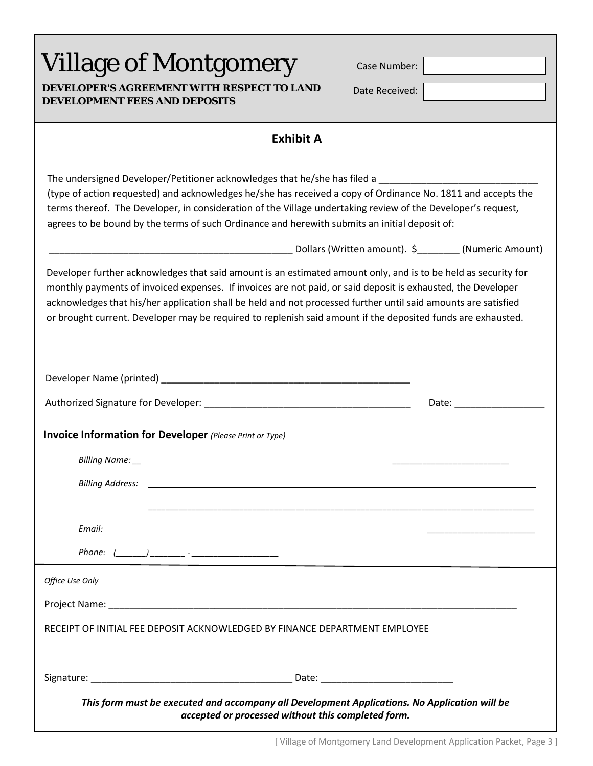| <b>Village of Montgomery</b><br><b>DEVELOPER'S AGREEMENT WITH RESPECT TO LAND</b><br>Date Received:  <br><b>DEVELOPMENT FEES AND DEPOSITS</b>                                                                                                                                                                                                                                                                                                                    |
|------------------------------------------------------------------------------------------------------------------------------------------------------------------------------------------------------------------------------------------------------------------------------------------------------------------------------------------------------------------------------------------------------------------------------------------------------------------|
| <b>Exhibit A</b>                                                                                                                                                                                                                                                                                                                                                                                                                                                 |
| The undersigned Developer/Petitioner acknowledges that he/she has filed a<br>(type of action requested) and acknowledges he/she has received a copy of Ordinance No. 1811 and accepts the<br>terms thereof. The Developer, in consideration of the Village undertaking review of the Developer's request,<br>agrees to be bound by the terms of such Ordinance and herewith submits an initial deposit of:                                                       |
| Lollars (Written amount). \$________ (Numeric Amount). \$__________________________                                                                                                                                                                                                                                                                                                                                                                              |
| Developer further acknowledges that said amount is an estimated amount only, and is to be held as security for<br>monthly payments of invoiced expenses. If invoices are not paid, or said deposit is exhausted, the Developer<br>acknowledges that his/her application shall be held and not processed further until said amounts are satisfied<br>or brought current. Developer may be required to replenish said amount if the deposited funds are exhausted. |
|                                                                                                                                                                                                                                                                                                                                                                                                                                                                  |
|                                                                                                                                                                                                                                                                                                                                                                                                                                                                  |
| <b>Invoice Information for Developer</b> (Please Print or Type)                                                                                                                                                                                                                                                                                                                                                                                                  |
|                                                                                                                                                                                                                                                                                                                                                                                                                                                                  |
|                                                                                                                                                                                                                                                                                                                                                                                                                                                                  |
|                                                                                                                                                                                                                                                                                                                                                                                                                                                                  |
|                                                                                                                                                                                                                                                                                                                                                                                                                                                                  |
| Phone: $(\_\_\_\_)$ _______ - ______________________                                                                                                                                                                                                                                                                                                                                                                                                             |
| Office Use Only                                                                                                                                                                                                                                                                                                                                                                                                                                                  |
|                                                                                                                                                                                                                                                                                                                                                                                                                                                                  |
| RECEIPT OF INITIAL FEE DEPOSIT ACKNOWLEDGED BY FINANCE DEPARTMENT EMPLOYEE                                                                                                                                                                                                                                                                                                                                                                                       |
|                                                                                                                                                                                                                                                                                                                                                                                                                                                                  |
| This form must be executed and accompany all Development Applications. No Application will be<br>accepted or processed without this completed form.                                                                                                                                                                                                                                                                                                              |